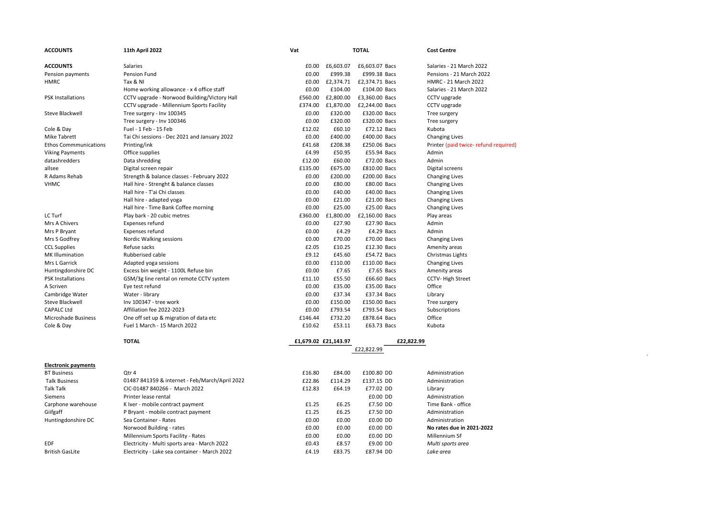| <b>ACCOUNTS</b>              | <b>11th April 2022</b>                         | Vat     | <b>TOTAL</b>         |                | <b>Cost Centre</b>                    |
|------------------------------|------------------------------------------------|---------|----------------------|----------------|---------------------------------------|
|                              |                                                |         |                      |                |                                       |
| <b>ACCOUNTS</b>              | Salaries                                       | £0.00   | £6,603.07            | £6,603.07 Bacs | Salaries - 21 March 2022              |
| Pension payments             | Pension Fund                                   | £0.00   | £999.38              | £999.38 Bacs   | Pensions - 21 March 2022              |
| <b>HMRC</b>                  | Tax & NI                                       | £0.00   | £2,374.71            | £2,374.71 Bacs | HMRC - 21 March 2022                  |
|                              | Home working allowance - x 4 office staff      | £0.00   | £104.00              | £104.00 Bacs   | Salaries - 21 March 2022              |
| <b>PSK Installations</b>     | CCTV upgrade - Norwood Building/Victory Hall   | £560.00 | £2,800.00            | £3,360.00 Bacs | CCTV upgrade                          |
|                              | CCTV upgrade - Millennium Sports Facility      | £374.00 | £1,870.00            | £2,244.00 Bacs | CCTV upgrade                          |
| Steve Blackwell              | Tree surgery - Inv 100345                      | £0.00   | £320.00              | £320.00 Bacs   | Tree surgery                          |
|                              | Tree surgery - Inv 100346                      | £0.00   | £320.00              | £320.00 Bacs   | Tree surgery                          |
| Cole & Day                   | Fuel - 1 Feb - 15 Feb                          | £12.02  | £60.10               | £72.12 Bacs    | Kubota                                |
| Mike Tabrett                 | Tai Chi sessions - Dec 2021 and January 2022   | £0.00   | £400.00              | £400.00 Bacs   | <b>Changing Lives</b>                 |
| <b>Ethos Commmunications</b> | Printing/ink                                   | £41.68  | £208.38              | £250.06 Bacs   | Printer (paid twice- refund required) |
| <b>Viking Payments</b>       | Office supplies                                | £4.99   | £50.95               | £55.94 Bacs    | Admin                                 |
| datashredders                | Data shredding                                 | £12.00  | £60.00               | £72.00 Bacs    | Admin                                 |
| allsee                       | Digital screen repair                          | £135.00 | £675.00              | £810.00 Bacs   | Digital screens                       |
| R Adams Rehab                | Strength & balance classes - February 2022     | £0.00   | £200.00              | £200.00 Bacs   | <b>Changing Lives</b>                 |
| <b>VHMC</b>                  | Hall hire - Strenght & balance classes         | £0.00   | £80.00               | £80.00 Bacs    | <b>Changing Lives</b>                 |
|                              | Hall hire - T'ai Chi classes                   | £0.00   | £40.00               | £40.00 Bacs    | <b>Changing Lives</b>                 |
|                              | Hall hire - adapted yoga                       | £0.00   | £21.00               | £21.00 Bacs    | <b>Changing Lives</b>                 |
|                              | Hall hire - Time Bank Coffee morning           | £0.00   | £25.00               | £25.00 Bacs    | <b>Changing Lives</b>                 |
| LC Turf                      | Play bark - 20 cubic metres                    | £360.00 | £1,800.00            | £2,160.00 Bacs | Play areas                            |
| Mrs A Chivers                | Expenses refund                                | £0.00   | £27.90               | £27.90 Bacs    | Admin                                 |
| Mrs P Bryant                 | Expenses refund                                | £0.00   | £4.29                | £4.29 Bacs     | Admin                                 |
| Mrs S Godfrey                | Nordic Walking sessions                        | £0.00   | £70.00               | £70.00 Bacs    | <b>Changing Lives</b>                 |
| <b>CCL Supplies</b>          | Refuse sacks                                   | £2.05   | £10.25               | £12.30 Bacs    | Amenity areas                         |
| <b>MK Illumination</b>       | Rubberised cable                               | £9.12   | £45.60               | £54.72 Bacs    | Christmas Lights                      |
| Mrs L Garrick                | Adapted yoga sessions                          | £0.00   | £110.00              | £110.00 Bacs   | <b>Changing Lives</b>                 |
| Huntingdonshire DC           | Excess bin weight - 1100L Refuse bin           | £0.00   | £7.65                | £7.65 Bacs     | Amenity areas                         |
| <b>PSK Installations</b>     | GSM/3g line rental on remote CCTV system       | £11.10  | £55.50               | £66.60 Bacs    | CCTV-High Street                      |
| A Scriven                    | Eye test refund                                | £0.00   | £35.00               | £35.00 Bacs    | Office                                |
| Cambridge Water              | Water - library                                | £0.00   | £37.34               | £37.34 Bacs    | Library                               |
| <b>Steve Blackwell</b>       | Inv 100347 - tree work                         | £0.00   | £150.00              | £150.00 Bacs   | Tree surgery                          |
| <b>CAPALC Ltd</b>            | Affiliation fee 2022-2023                      | £0.00   | £793.54              | £793.54 Bacs   | Subscriptions                         |
| Microshade Business          | One off set up & migration of data etc         | £146.44 | £732.20              | £878.64 Bacs   | Office                                |
| Cole & Day                   | Fuel 1 March - 15 March 2022                   | £10.62  | £53.11               | £63.73 Bacs    | Kubota                                |
|                              | <b>TOTAL</b>                                   |         | £1,679.02 £21,143.97 |                | £22,822.99                            |
|                              |                                                |         |                      | £22,822.99     |                                       |
| <b>Electronic payments</b>   |                                                |         |                      |                |                                       |
| <b>BT Business</b>           | Qtr 4                                          | £16.80  | £84.00               | £100.80 DD     | Administration                        |
| <b>Talk Business</b>         | 01487 841359 & internet - Feb/March/April 2022 | £22.86  | £114.29              | £137.15 DD     | Administration                        |
| <b>Talk Talk</b>             | CIC-01487 840266 - March 2022                  | £12.83  | £64.19               | £77.02 DD      | Library                               |
| Siemens                      | Printer lease rental                           |         |                      | £0.00 DD       | Administration                        |
| Carphone warehouse           | K Ixer - mobile contract payment               | £1.25   | £6.25                | £7.50 DD       | Time Bank - office                    |
| Giifgaff                     | P Bryant - mobile contract payment             | £1.25   | £6.25                | £7.50 DD       | Administration                        |
| Huntingdonshire DC           | Sea Container - Rates                          | £0.00   | £0.00                | £0.00 DD       | Administration                        |
|                              | Norwood Building - rates                       | £0.00   | £0.00                | £0.00 DD       | No rates due in 2021-2022             |
|                              | Millennium Sports Facility - Rates             | £0.00   | £0.00                | £0.00 DD       | Millennium SF                         |
| <b>EDF</b>                   | Electricity - Multi sports area - March 2022   | £0.43   | £8.57                | £9.00 DD       | Multi sports area                     |
| <b>British GasLite</b>       | Electricity - Lake sea container - March 2022  | £4.19   | £83.75               | £87.94 DD      | Lake area                             |
|                              |                                                |         |                      |                |                                       |

 $\label{eq:1.1} \frac{1}{\sqrt{2\pi}}\int_{\mathbb{R}^{2}}\left|\frac{d\mathbf{x}}{d\mathbf{x}}\right|^{2}d\mathbf{x}^{2}d\mathbf{x}^{2}d\mathbf{x}^{2}d\mathbf{x}^{2}d\mathbf{x}^{2}d\mathbf{x}^{2}d\mathbf{x}^{2}d\mathbf{x}^{2}d\mathbf{x}^{2}d\mathbf{x}^{2}d\mathbf{x}^{2}d\mathbf{x}^{2}d\mathbf{x}^{2}d\mathbf{x}^{2}d\mathbf{x}^{2}d\mathbf{x}^{2}d\mathbf{x}^{2}d\mathbf{x}^{2}d$